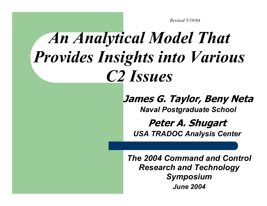*Revised 5/10/04*

### *An Analytical Model That Provides Insights into Various C2 Issues*

**James G. Taylor, Beny Neta**

*Naval Postgraduate School*

**Peter A. Shugart**

*USA TRADOC Analysis Center*

*The 2004 Command and Control Research and Technology Symposium June 2004*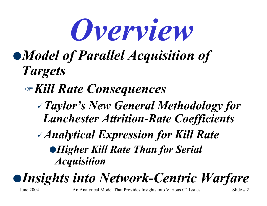

### <sup>z</sup>*Model of Parallel Acquisition of Targets*

### )*Kill Rate Consequences*

### <sup>3</sup>*Taylor's New General Methodology for Lanchester Attrition-Rate Coefficients*

### <sup>3</sup>*Analytical Expression for Kill Rate*

#### **•Higher Kill Rate Than for Serial** *Acquisition*

### z*Insights into Network-Centric Warfare*

June 2004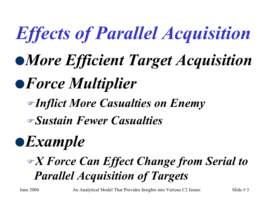# *Effects of Parallel Acquisition*

## <sup>z</sup>*More Efficient Target Acquisition*

### <sup>z</sup>*Force Multiplier*

### )*Inflict More Casualties on Enemy* )*Sustain Fewer Casualties*

### <sup>z</sup>*Example*

### )*X Force Can Effect Change from Serial to Parallel Acquisition of Targets*

June 2004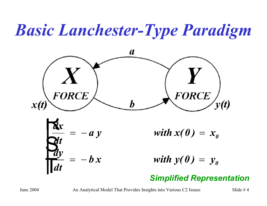## *Basic Lanchester-Type Paradigm*



#### *Simplified Representation*

June 2004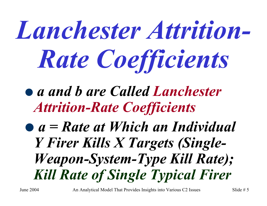# *Lanchester Attrition-Rate Coefficients*

- z *a and b are Called Lanchester Attrition-Rate Coefficients*
- z *a = Rate at Which an Individual Y Firer Kills X Targets (Single-Weapon-System-Type Kill Rate); Kill Rate of Single Typical Firer*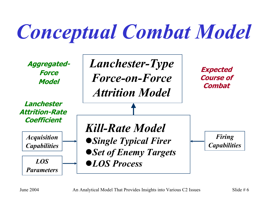# *Conceptual Combat Model*

**Aggregated-ForceModel**

**LanchesterAttrition-RateCoefficient**





**Expected Course of Combat**

*Kill-Rate Model*  $\bullet$ *Single Typical Firer* 

 $\bullet$ *Set of Enemy Targets* 

z*LOS Process*

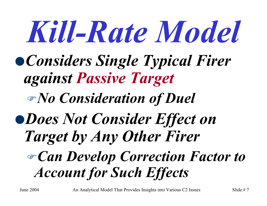# *Kill-Rate Model*

- <sup>z</sup>*Considers Single Typical Firer against Passive Target*
	- )*No Consideration of Duel*
- <sup>z</sup>*Does Not Consider Effect on Target by Any Other Firer*

### )*Can Develop Correction Factor to Account for Such Effects*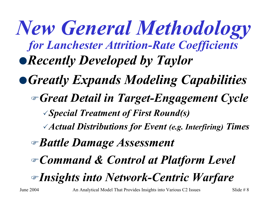*New General Methodology for Lanchester Attrition-Rate Coefficients* <sup>z</sup>*Recently Developed by Taylor*

- <sup>z</sup>*Greatly Expands Modeling Capabilities* )*Great Detail in Target-Engagement Cycle* <sup>3</sup>*Special Treatment of First Round(s)*
	- <sup>3</sup>*Actual Distributions for Event (e.g. Interfiring) Times*
	- )*Battle Damage Assessment*

)*Command & Control at Platform Level*

)*Insights into Network-Centric Warfare*

June 2004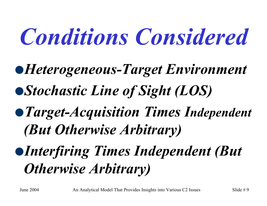# *Conditions Considered*

- <sup>z</sup>*Heterogeneous-Target Environment*
- <sup>z</sup>*Stochastic Line of Sight (LOS)*
- <sup>z</sup>*Target-Acquisition Times Independent (But Otherwise Arbitrary)*

<sup>z</sup>*Interfiring Times Independent (But Otherwise Arbitrary)*

June 2004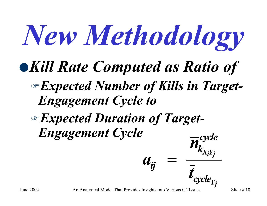#### *New Methodology*  $\bullet$ *Kill Rate Computed as Ratio of* )*Expected Number of Kills in Target-Engagement Cycle to* )*Expected Duration of Target-Engagement Cycle*  $a_{ij}$ *n<sup>t</sup> ij kcycle XiYj* =

June 2004

An Analytical Model That Provides Insights into Various C2 Issues Slide  $\# 10$ 

*cycle*

*Yj*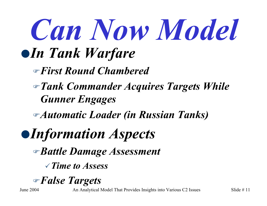# *Can Now Model*

### **•In Tank Warfare**

)*First Round Chambered*

- )*Tank Commander Acquires Targets While Gunner Engages*
- )*Automatic Loader (in Russian Tanks)*

### <sup>z</sup>*Information Aspects*

)*Battle Damage Assessment*

3*Time to Assess*

### )*False Targets*

June 2004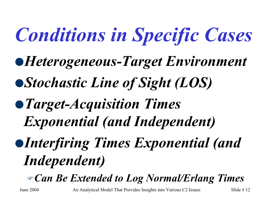# *Conditions in Specific Cases*

<sup>z</sup>*Heterogeneous-Target Environment*

<sup>z</sup>*Stochastic Line of Sight (LOS)*

### <sup>z</sup>*Target-Acquisition Times Exponential (and Independent)*

### <sup>z</sup>*Interfiring Times Exponential (and Independent)*

)*Can Be Extended to Log Normal/Erlang Times*

June 2004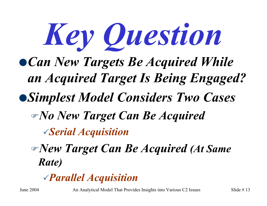

<sup>z</sup>*Can New Targets Be Acquired While an Acquired Target Is Being Engaged?* <sup>z</sup>*Simplest Model Considers Two Cases* )*No New Target Can Be Acquired* <sup>3</sup>*Serial Acquisition*

)*New Target Can Be Acquired (At Same Rate)*

#### 3*Parallel Acquisition*

June 2004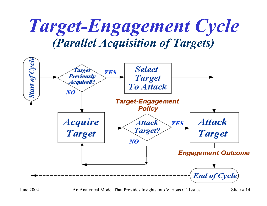### *Target-Engagement Cycle (Parallel Acquisition of Targets)*



June 2004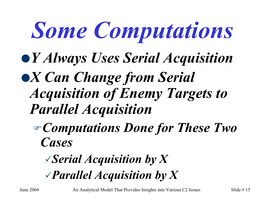# *Some Computations*

<sup>z</sup>*Y Always Uses Serial Acquisition*

### <sup>z</sup>*X Can Change from Serial Acquisition of Enemy Targets to Parallel Acquisition*

)*Computations Done for These Two Cases*

### <sup>3</sup>*Serial Acquisition by X* 3*Parallel Acquisition by X*

June 2004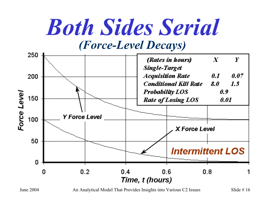### *Both Sides Serial (Force-Level Decays)*

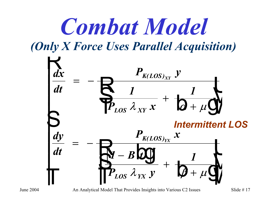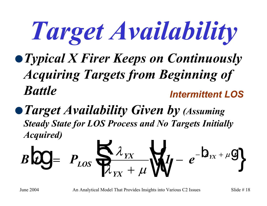# *Target Availability*

<sup>z</sup>*Typical X Firer Keeps on Continuously Acquiring Targets from Beginning of Battle Intermittent LOS* 

<sup>z</sup>*Target Availability Given by (Assuming Steady State for LOS Process and No Targets Initially Acquired)*

$$
B\bigcup_{\mu=0}^{\infty} P_{\mu} = P_{\mu} \sum_{\gamma} \frac{\partial_{\gamma} \chi}{\partial x_{\gamma}} \bigvee_{\mu=0}^{\infty} I_{\mu} = e^{-\big[\mathbf{D}_{\mu} + \mu\big]\mathbf{G}}.
$$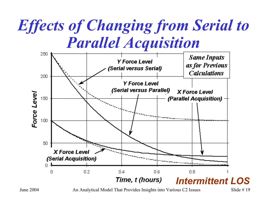### *Effects of Changing from Serial to Parallel Acquisition*



June 2004

An Analytical Model That Provides Insights into Various C2 Issues Slide # 19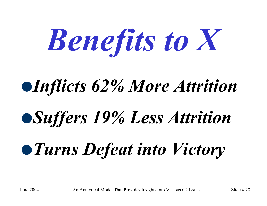

## <sup>z</sup>*Inflicts 62% More Attrition*

## <sup>z</sup>*Suffers 19% Less Attrition*

## z*Turns Defeat into Victory*

June 2004